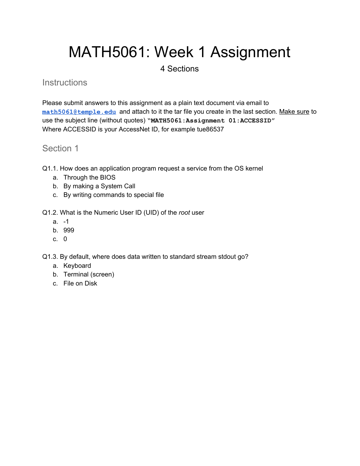# MATH5061: Week 1 Assignment

## 4 Sections

#### **Instructions**

Please submit answers to this assignment as a plain text document via email to **[math5061@temple.edu](mailto:math5061@temple.edu)** and attach to it the tar file you create in the last section. Make sure to use the subject line (without quotes) **"MATH5061:Assignment 01:ACCESSID"** Where ACCESSID is your AccessNet ID, for example tue86537

## Section 1

- Q1.1. How does an application program request a service from the OS kernel
	- a. Through the BIOS
	- b. By making a System Call
	- c. By writing commands to special file
- Q1.2. What is the Numeric User ID (UID) of the *root* user
	- $a. -1$
	- b. 999
	- c. 0

Q1.3. By default, where does data written to standard stream stdout go?

- a. Keyboard
- b. Terminal (screen)
- c. File on Disk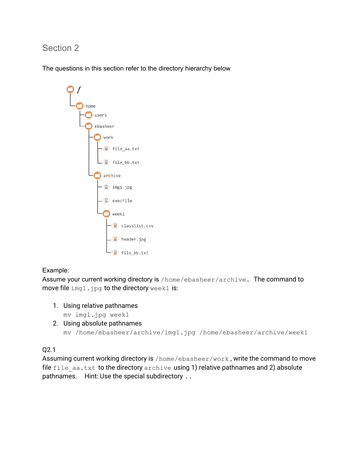# Section 2

The questions in this section refer to the directory hierarchy below



#### Example:

Assume your current working directory is /home/ebasheer/archive. The command to move file img1.jpg to the directory week1 is:

1. Using relative pathnames

mv img1.jpg week1

2. Using absolute pathnames mv /home/ebasheer/archive/img1.jpg /home/ebasheer/archive/week1

Q2.1

Assuming current working directory is /home/ebasheer/work , write the command to move file  $file$  aa.txt to the directory archive using 1) relative pathnames and 2) absolute pathnames. Hint: Use the special subdirectory ..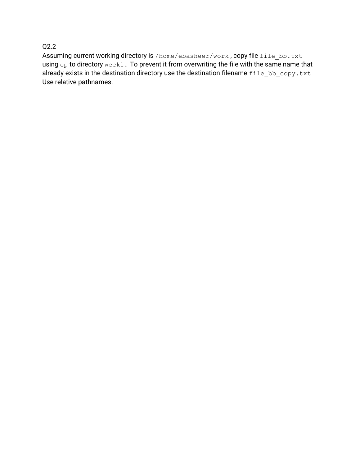#### Q2.2

Assuming current working directory is /home/ebasheer/work, copy file file bb.txt using cp to directory week1. To prevent it from overwriting the file with the same name that already exists in the destination directory use the destination filename  $file\_bb\_copy.txt$ Use relative pathnames.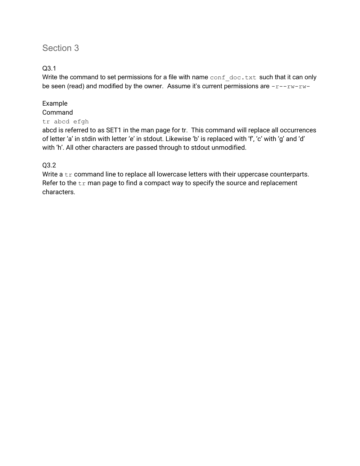# Section 3

#### Q3.1

Write the command to set permissions for a file with name  $\text{conf } \text{doc.txt}$  such that it can only be seen (read) and modified by the owner. Assume it's current permissions are  $-r-rw-rw-$ 

# Example

# Command

#### tr abcd efgh

abcd is referred to as SET1 in the man page for tr. This command will replace all occurrences of letter 'a' in stdin with letter 'e' in stdout. Likewise 'b' is replaced with 'f', 'c' with 'g' and 'd' with 'h'. All other characters are passed through to stdout unmodified.

#### Q3.2

Write a  $tr$  command line to replace all lowercase letters with their uppercase counterparts. Refer to the  $tr$  man page to find a compact way to specify the source and replacement characters.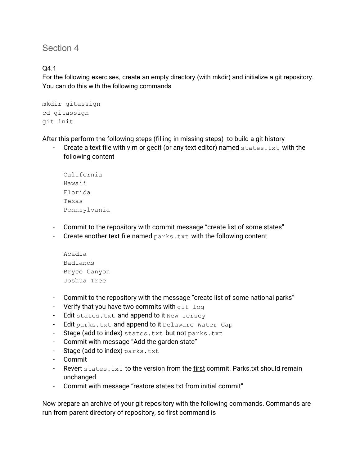Section 4

Q4.1

For the following exercises, create an empty directory (with mkdir) and initialize a git repository. You can do this with the following commands

```
mkdir gitassign
cd gitassign
git init
```
After this perform the following steps (filling in missing steps) to build a git history

Create a text file with vim or gedit (or any text editor) named  $states.txt$  with the following content

```
California
Hawaii
Florida
Texas
Pennsylvania
```
- Commit to the repository with commit message "create list of some states"
- Create another text file named  $_{\text{parks.txt}}$  with the following content

```
Acadia
Badlands
Bryce Canyon
Joshua Tree
```
- Commit to the repository with the message "create list of some national parks"
- Verify that you have two commits with  $q$ it log
- Edit states.txt and append to it New Jersey
- Edit parks.txt and append to it Delaware Water Gap
- Stage (add to index) states.txt but not parks.txt
- Commit with message "Add the garden state"
- Stage (add to index) parks.txt
- Commit
- Revert states.txt to the version from the first commit. Parks.txt should remain unchanged
- Commit with message "restore states.txt from initial commit"

Now prepare an archive of your git repository with the following commands. Commands are run from parent directory of repository, so first command is